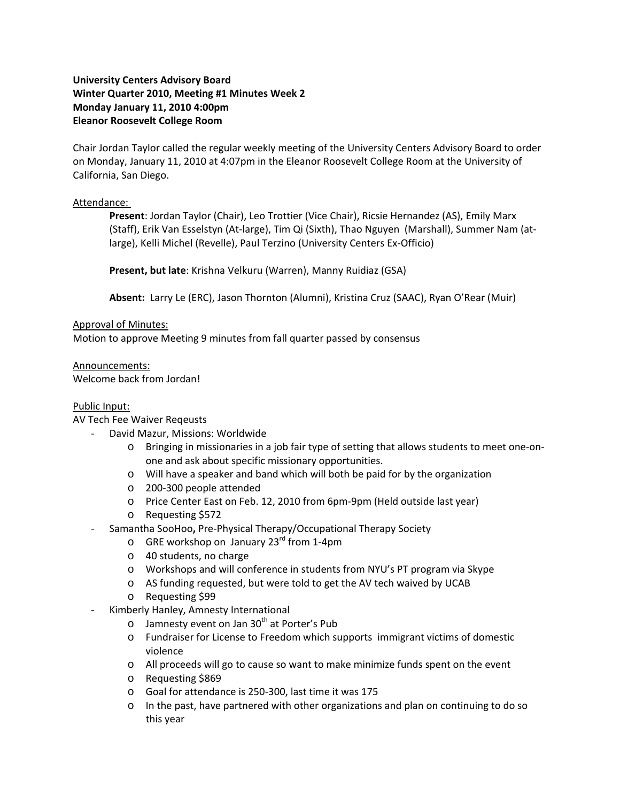# **University Centers Advisory Board Winter Quarter 2010, Meeting #1 Minutes Week 2 Monday January 11, 2010 4:00pm Eleanor Roosevelt College Room**

Chair Jordan Taylor called the regular weekly meeting of the University Centers Advisory Board to order on Monday, January 11, 2010 at 4:07pm in the Eleanor Roosevelt College Room at the University of California, San Diego.

## Attendance:

**Present**: Jordan Taylor (Chair), Leo Trottier (Vice Chair), Ricsie Hernandez (AS), Emily Marx (Staff), Erik Van Esselstyn (At‐large), Tim Qi (Sixth), Thao Nguyen (Marshall), Summer Nam (at‐ large), Kelli Michel (Revelle), Paul Terzino (University Centers Ex‐Officio)

**Present, but late**: Krishna Velkuru (Warren), Manny Ruidiaz (GSA)

**Absent:** Larry Le (ERC), Jason Thornton (Alumni), Kristina Cruz (SAAC), Ryan O'Rear (Muir)

#### Approval of Minutes:

Motion to approve Meeting 9 minutes from fall quarter passed by consensus

Announcements: Welcome back from Jordan!

#### Public Input:

## AV Tech Fee Waiver Reqeusts

- ‐ David Mazur, Missions: Worldwide
	- o Bringing in missionaries in a job fair type of setting that allows students to meet one‐on‐ one and ask about specific missionary opportunities.
	- o Will have a speaker and band which will both be paid for by the organization
	- o 200‐300 people attended
	- o Price Center East on Feb. 12, 2010 from 6pm‐9pm (Held outside last year)
	- o Requesting \$572
- ‐ Samantha SooHoo**,** Pre‐Physical Therapy/Occupational Therapy Society
	- o GRE workshop on January 23rd from 1‐4pm
	- o 40 students, no charge
	- o Workshops and will conference in students from NYU's PT program via Skype
	- o AS funding requested, but were told to get the AV tech waived by UCAB
	- o Requesting \$99
- ‐ Kimberly Hanley, Amnesty International
	- $\circ$  Jamnesty event on Jan 30<sup>th</sup> at Porter's Pub
	- o Fundraiser for License to Freedom which supports immigrant victims of domestic violence
	- o All proceeds will go to cause so want to make minimize funds spent on the event
	- o Requesting \$869
	- o Goal for attendance is 250‐300, last time it was 175
	- o In the past, have partnered with other organizations and plan on continuing to do so this year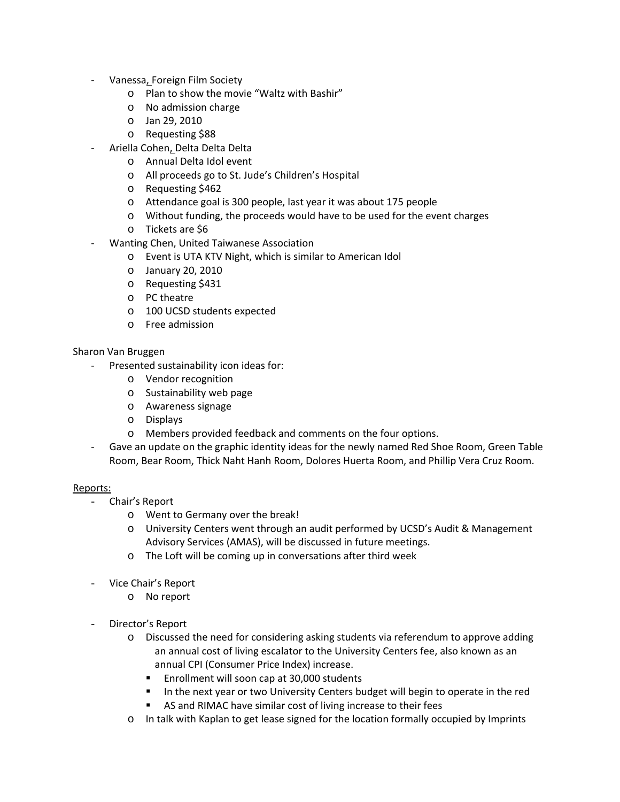- ‐ Vanessa, Foreign Film Society
	- o Plan to show the movie "Waltz with Bashir"
	- o No admission charge
	- o Jan 29, 2010
	- o Requesting \$88
	- ‐ Ariella Cohen, Delta Delta Delta
		- o Annual Delta Idol event
			- o All proceeds go to St. Jude's Children's Hospital
			- o Requesting \$462
			- o Attendance goal is 300 people, last year it was about 175 people
			- o Without funding, the proceeds would have to be used for the event charges
			- o Tickets are \$6
- ‐ Wanting Chen, United Taiwanese Association
	- o Event is UTA KTV Night, which is similar to American Idol
	- o January 20, 2010
	- o Requesting \$431
	- o PC theatre
	- o 100 UCSD students expected
	- o Free admission

## Sharon Van Bruggen

- ‐ Presented sustainability icon ideas for:
	- o Vendor recognition
	- o Sustainability web page
	- o Awareness signage
	- o Displays
	- o Members provided feedback and comments on the four options.
- ‐ Gave an update on the graphic identity ideas for the newly named Red Shoe Room, Green Table Room, Bear Room, Thick Naht Hanh Room, Dolores Huerta Room, and Phillip Vera Cruz Room.

## Reports:

- Chair's Report
	- o Went to Germany over the break!
	- o University Centers went through an audit performed by UCSD's Audit & Management Advisory Services (AMAS), will be discussed in future meetings.
	- o The Loft will be coming up in conversations after third week
- Vice Chair's Report
	- o No report
- Director's Report
	- o Discussed the need for considering asking students via referendum to approve adding an annual cost of living escalator to the University Centers fee, also known as an annual CPI (Consumer Price Index) increase.
		- **Enrollment will soon cap at 30,000 students**
		- In the next year or two University Centers budget will begin to operate in the red
		- AS and RIMAC have similar cost of living increase to their fees
	- o In talk with Kaplan to get lease signed for the location formally occupied by Imprints